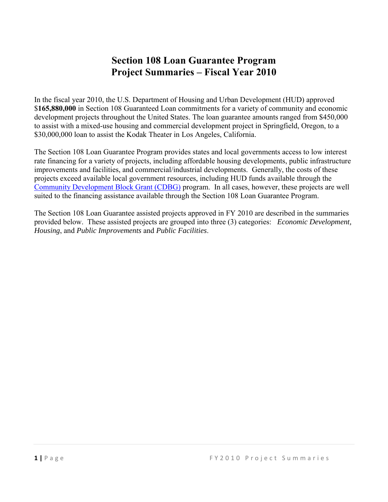### **Section 108 Loan Guarantee Program Project Summaries – Fiscal Year 2010**

In the fiscal year 2010, the U.S. Department of Housing and Urban Development (HUD) approved \$**165,880,000** in Section 108 Guaranteed Loan commitments for a variety of community and economic development projects throughout the United States. The loan guarantee amounts ranged from \$450,000 to assist with a mixed-use housing and commercial development project in Springfield, Oregon, to a \$30,000,000 loan to assist the Kodak Theater in Los Angeles, California.

The Section 108 Loan Guarantee Program provides states and local governments access to low interest rate financing for a variety of projects, including affordable housing developments, public infrastructure improvements and facilities, and commercial/industrial developments. Generally, the costs of these projects exceed available local government resources, including HUD funds available through the [Community Development Block Grant \(CDBG\)](https://www.hudexchange.info/programs/cdbg-entitlement/) program. In all cases, however, these projects are well suited to the financing assistance available through the Section 108 Loan Guarantee Program.

The Section 108 Loan Guarantee assisted projects approved in FY 2010 are described in the summaries provided below. These assisted projects are grouped into three (3) categories: *Economic Development, Housing*, and *Public Improvements* and *Public Facilities*.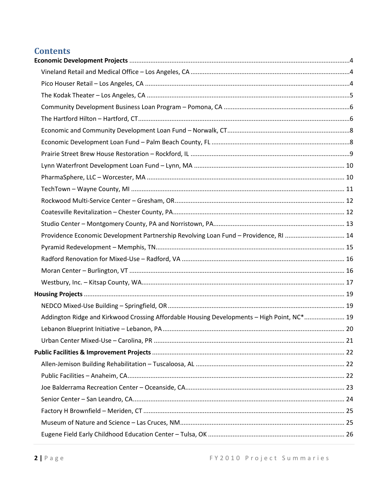### **Contents**

| Providence Economic Development Partnership Revolving Loan Fund - Providence, RI  14       |  |
|--------------------------------------------------------------------------------------------|--|
|                                                                                            |  |
|                                                                                            |  |
|                                                                                            |  |
|                                                                                            |  |
|                                                                                            |  |
|                                                                                            |  |
| Addington Ridge and Kirkwood Crossing Affordable Housing Developments - High Point, NC* 19 |  |
|                                                                                            |  |
|                                                                                            |  |
|                                                                                            |  |
|                                                                                            |  |
|                                                                                            |  |
|                                                                                            |  |
|                                                                                            |  |
|                                                                                            |  |
|                                                                                            |  |
|                                                                                            |  |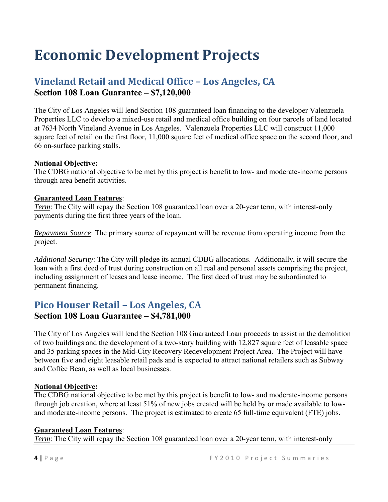# <span id="page-3-0"></span>**Economic Development Projects**

### <span id="page-3-1"></span>**Vineland Retail and Medical Office – Los Angeles, CA Section 108 Loan Guarantee – \$7,120,000**

The City of Los Angeles will lend Section 108 guaranteed loan financing to the developer Valenzuela Properties LLC to develop a mixed-use retail and medical office building on four parcels of land located at 7634 North Vineland Avenue in Los Angeles. Valenzuela Properties LLC will construct 11,000 square feet of retail on the first floor, 11,000 square feet of medical office space on the second floor, and 66 on-surface parking stalls.

#### **National Objective:**

The CDBG national objective to be met by this project is benefit to low- and moderate-income persons through area benefit activities.

#### **Guaranteed Loan Features**:

*Term*: The City will repay the Section 108 guaranteed loan over a 20-year term, with interest-only payments during the first three years of the loan.

*Repayment Source*: The primary source of repayment will be revenue from operating income from the project.

*Additional Security*: The City will pledge its annual CDBG allocations. Additionally, it will secure the loan with a first deed of trust during construction on all real and personal assets comprising the project, including assignment of leases and lease income. The first deed of trust may be subordinated to permanent financing.

### <span id="page-3-2"></span>**Pico Houser Retail – Los Angeles, CA Section 108 Loan Guarantee – \$4,781,000**

The City of Los Angeles will lend the Section 108 Guaranteed Loan proceeds to assist in the demolition of two buildings and the development of a two-story building with 12,827 square feet of leasable space and 35 parking spaces in the Mid-City Recovery Redevelopment Project Area. The Project will have between five and eight leasable retail pads and is expected to attract national retailers such as Subway and Coffee Bean, as well as local businesses.

#### **National Objective:**

The CDBG national objective to be met by this project is benefit to low- and moderate-income persons through job creation, where at least 51% of new jobs created will be held by or made available to lowand moderate-income persons. The project is estimated to create 65 full-time equivalent (FTE) jobs.

#### **Guaranteed Loan Features**:

*Term*: The City will repay the Section 108 guaranteed loan over a 20-year term, with interest-only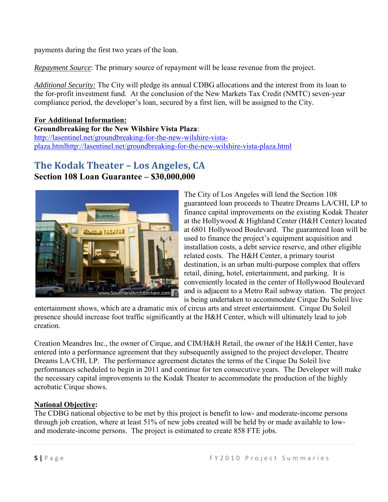payments during the first two years of the loan.

*Repayment Source*: The primary source of repayment will be lease revenue from the project.

*Additional Security:* The City will pledge its annual CDBG allocations and the interest from its loan to the for-profit investment fund. At the conclusion of the New Markets Tax Credit (NMTC) seven-year compliance period, the developer's loan, secured by a first lien, will be assigned to the City.

**For Additional Information: Groundbreaking for the New Wilshire Vista Plaza**: [http://lasentinel.net/groundbreaking-for-the-new-wilshire-vista](http://lasentinel.net/groundbreaking-for-the-new-wilshire-vista-plaza.htmlhttp:/lasentinel.net/groundbreaking-for-the-new-wilshire-vista-plaza.html)[plaza.htmlhttp://lasentinel.net/groundbreaking-for-the-new-wilshire-vista-plaza.html](http://lasentinel.net/groundbreaking-for-the-new-wilshire-vista-plaza.htmlhttp:/lasentinel.net/groundbreaking-for-the-new-wilshire-vista-plaza.html)

## <span id="page-4-0"></span>**The Kodak Theater – Los Angeles, CA**

#### **Section 108 Loan Guarantee – \$30,000,000**



The City of Los Angeles will lend the Section 108 guaranteed loan proceeds to Theatre Dreams LA/CHI, LP to finance capital improvements on the existing Kodak Theater at the Hollywood & Highland Center (H&H Center) located at 6801 Hollywood Boulevard. The guaranteed loan will be used to finance the project's equipment acquisition and installation costs, a debt service reserve, and other eligible related costs. The H&H Center, a primary tourist destination, is an urban multi-purpose complex that offers retail, dining, hotel, entertainment, and parking. It is conveniently located in the center of Hollywood Boulevard and is adjacent to a Metro Rail subway station. The project is being undertaken to accommodate Cirque Du Soleil live

entertainment shows, which are a dramatic mix of circus arts and street entertainment. Cirque Du Soleil presence should increase foot traffic significantly at the H&H Center, which will ultimately lead to job creation.

Creation Meandres Inc., the owner of Cirque, and CIM/H&H Retail, the owner of the H&H Center, have entered into a performance agreement that they subsequently assigned to the project developer, Theatre Dreams LA/CHI, LP. The performance agreement dictates the terms of the Cirque Du Soleil live performances scheduled to begin in 2011 and continue for ten consecutive years. The Developer will make the necessary capital improvements to the Kodak Theater to accommodate the production of the highly acrobatic Cirque shows.

#### **National Objective:**

The CDBG national objective to be met by this project is benefit to low- and moderate-income persons through job creation, where at least 51% of new jobs created will be held by or made available to lowand moderate-income persons. The project is estimated to create 858 FTE jobs.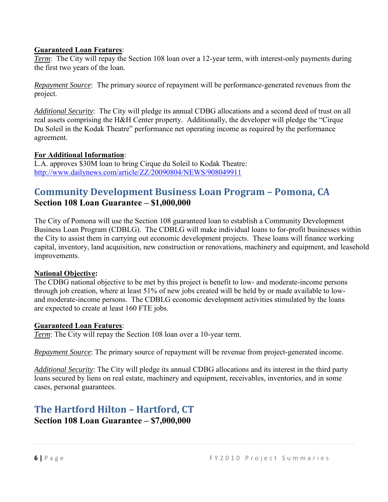#### **Guaranteed Loan Features**:

*Term*: The City will repay the Section 108 loan over a 12-year term, with interest-only payments during the first two years of the loan.

*Repayment Source*: The primary source of repayment will be performance-generated revenues from the project.

*Additional Security*: The City will pledge its annual CDBG allocations and a second deed of trust on all real assets comprising the H&H Center property. Additionally, the developer will pledge the "Cirque Du Soleil in the Kodak Theatre" performance net operating income as required by the performance agreement.

#### **For Additional Information**:

L.A. approves \$30M loan to bring Cirque du Soleil to Kodak Theatre: <http://www.dailynews.com/article/ZZ/20090804/NEWS/908049911>

### <span id="page-5-0"></span>**Community Development Business Loan Program – Pomona, CA Section 108 Loan Guarantee – \$1,000,000**

The City of Pomona will use the Section 108 guaranteed loan to establish a Community Development Business Loan Program (CDBLG). The CDBLG will make individual loans to for-profit businesses within the City to assist them in carrying out economic development projects. These loans will finance working capital, inventory, land acquisition, new construction or renovations, machinery and equipment, and leasehold improvements.

#### **National Objective:**

The CDBG national objective to be met by this project is benefit to low- and moderate-income persons through job creation, where at least 51% of new jobs created will be held by or made available to lowand moderate-income persons. The CDBLG economic development activities stimulated by the loans are expected to create at least 160 FTE jobs.

#### **Guaranteed Loan Features**:

*Term*: The City will repay the Section 108 loan over a 10-year term.

*Repayment Source*: The primary source of repayment will be revenue from project-generated income.

*Additional Security*: The City will pledge its annual CDBG allocations and its interest in the third party loans secured by liens on real estate, machinery and equipment, receivables, inventories, and in some cases, personal guarantees.

### <span id="page-5-1"></span>**The Hartford Hilton – Hartford, CT Section 108 Loan Guarantee – \$7,000,000**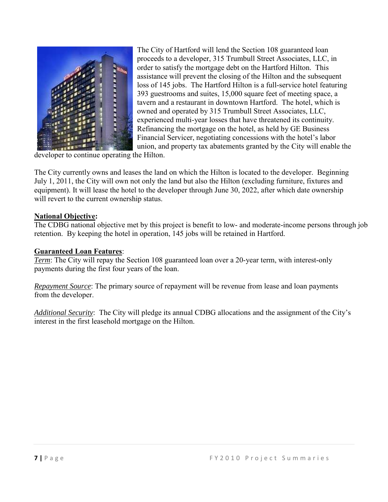

The City of Hartford will lend the Section 108 guaranteed loan proceeds to a developer, 315 Trumbull Street Associates, LLC, in order to satisfy the mortgage debt on the Hartford Hilton. This assistance will prevent the closing of the Hilton and the subsequent loss of 145 jobs. The Hartford Hilton is a full-service hotel featuring 393 guestrooms and suites, 15,000 square feet of meeting space, a tavern and a restaurant in downtown Hartford. The hotel, which is owned and operated by 315 Trumbull Street Associates, LLC, experienced multi-year losses that have threatened its continuity. Refinancing the mortgage on the hotel, as held by GE Business Financial Servicer, negotiating concessions with the hotel's labor union, and property tax abatements granted by the City will enable the

developer to continue operating the Hilton.

The City currently owns and leases the land on which the Hilton is located to the developer. Beginning July 1, 2011, the City will own not only the land but also the Hilton (excluding furniture, fixtures and equipment). It will lease the hotel to the developer through June 30, 2022, after which date ownership will revert to the current ownership status.

#### **National Objective:**

The CDBG national objective met by this project is benefit to low- and moderate-income persons through job retention. By keeping the hotel in operation, 145 jobs will be retained in Hartford.

#### **Guaranteed Loan Features**:

*Term*: The City will repay the Section 108 guaranteed loan over a 20-year term, with interest-only payments during the first four years of the loan.

*Repayment Source*: The primary source of repayment will be revenue from lease and loan payments from the developer.

*Additional Security*: The City will pledge its annual CDBG allocations and the assignment of the City's interest in the first leasehold mortgage on the Hilton.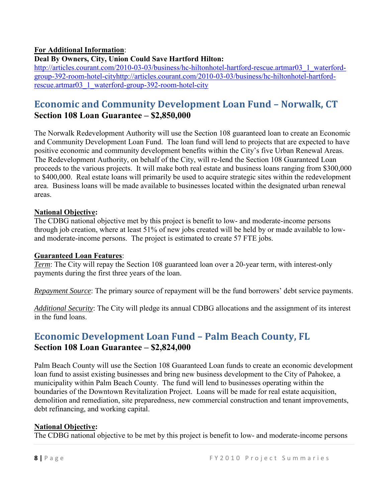#### **For Additional Information**:

#### **Deal By Owners, City, Union Could Save Hartford Hilton:**

[http://articles.courant.com/2010-03-03/business/hc-hiltonhotel-hartford-rescue.artmar03\\_1\\_waterford](http://articles.courant.com/2010-03-03/business/hc-hiltonhotel-hartford-rescue.artmar03_1_waterford-group-392-room-hotel-cityhttp:/articles.courant.com/2010-03-03/business/hc-hiltonhotel-hartford-rescue.artmar03_1_waterford-group-392-room-hotel-city)[group-392-room-hotel-cityhttp://articles.courant.com/2010-03-03/business/hc-hiltonhotel-hartford](http://articles.courant.com/2010-03-03/business/hc-hiltonhotel-hartford-rescue.artmar03_1_waterford-group-392-room-hotel-cityhttp:/articles.courant.com/2010-03-03/business/hc-hiltonhotel-hartford-rescue.artmar03_1_waterford-group-392-room-hotel-city)[rescue.artmar03\\_1\\_waterford-group-392-room-hotel-city](http://articles.courant.com/2010-03-03/business/hc-hiltonhotel-hartford-rescue.artmar03_1_waterford-group-392-room-hotel-cityhttp:/articles.courant.com/2010-03-03/business/hc-hiltonhotel-hartford-rescue.artmar03_1_waterford-group-392-room-hotel-city)

### <span id="page-7-0"></span>**Economic and Community Development Loan Fund – Norwalk, CT Section 108 Loan Guarantee – \$2,850,000**

The Norwalk Redevelopment Authority will use the Section 108 guaranteed loan to create an Economic and Community Development Loan Fund. The loan fund will lend to projects that are expected to have positive economic and community development benefits within the City's five Urban Renewal Areas. The Redevelopment Authority, on behalf of the City, will re-lend the Section 108 Guaranteed Loan proceeds to the various projects. It will make both real estate and business loans ranging from \$300,000 to \$400,000. Real estate loans will primarily be used to acquire strategic sites within the redevelopment area. Business loans will be made available to businesses located within the designated urban renewal areas.

#### **National Objective:**

The CDBG national objective met by this project is benefit to low- and moderate-income persons through job creation, where at least 51% of new jobs created will be held by or made available to lowand moderate-income persons. The project is estimated to create 57 FTE jobs.

#### **Guaranteed Loan Features**:

*Term*: The City will repay the Section 108 guaranteed loan over a 20-year term, with interest-only payments during the first three years of the loan.

*Repayment Source*: The primary source of repayment will be the fund borrowers' debt service payments.

*Additional Security*: The City will pledge its annual CDBG allocations and the assignment of its interest in the fund loans.

### <span id="page-7-1"></span>**Economic Development Loan Fund – Palm Beach County, FL Section 108 Loan Guarantee – \$2,824,000**

Palm Beach County will use the Section 108 Guaranteed Loan funds to create an economic development loan fund to assist existing businesses and bring new business development to the City of Pahokee, a municipality within Palm Beach County. The fund will lend to businesses operating within the boundaries of the Downtown Revitalization Project. Loans will be made for real estate acquisition, demolition and remediation, site preparedness, new commercial construction and tenant improvements, debt refinancing, and working capital.

#### **National Objective:**

The CDBG national objective to be met by this project is benefit to low- and moderate-income persons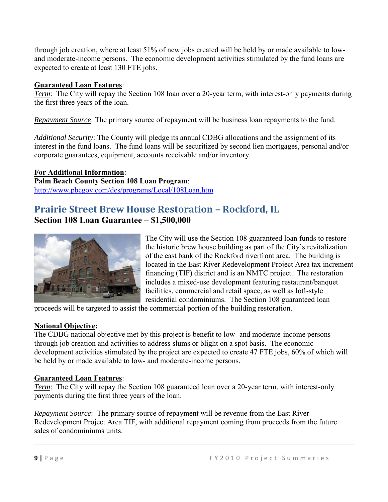through job creation, where at least 51% of new jobs created will be held by or made available to lowand moderate-income persons. The economic development activities stimulated by the fund loans are expected to create at least 130 FTE jobs.

#### **Guaranteed Loan Features**:

*Term*: The City will repay the Section 108 loan over a 20-year term, with interest-only payments during the first three years of the loan.

*Repayment Source*: The primary source of repayment will be business loan repayments to the fund.

*Additional Security*: The County will pledge its annual CDBG allocations and the assignment of its interest in the fund loans. The fund loans will be securitized by second lien mortgages, personal and/or corporate guarantees, equipment, accounts receivable and/or inventory.

**For Additional Information**: **Palm Beach County Section 108 Loan Program**: <http://www.pbcgov.com/des/programs/Local/108Loan.htm>

### <span id="page-8-0"></span>**Prairie Street Brew House Restoration – Rockford, IL Section 108 Loan Guarantee – \$1,500,000**



The City will use the Section 108 guaranteed loan funds to restore the historic brew house building as part of the City's revitalization of the east bank of the Rockford riverfront area. The building is located in the East River Redevelopment Project Area tax increment financing (TIF) district and is an NMTC project. The restoration includes a mixed-use development featuring restaurant/banquet facilities, commercial and retail space, as well as loft-style residential condominiums. The Section 108 guaranteed loan

proceeds will be targeted to assist the commercial portion of the building restoration.

#### **National Objective:**

The CDBG national objective met by this project is benefit to low- and moderate-income persons through job creation and activities to address slums or blight on a spot basis. The economic development activities stimulated by the project are expected to create 47 FTE jobs, 60% of which will be held by or made available to low- and moderate-income persons.

#### **Guaranteed Loan Features**:

*Term*: The City will repay the Section 108 guaranteed loan over a 20-year term, with interest-only payments during the first three years of the loan.

*Repayment Source*: The primary source of repayment will be revenue from the East River Redevelopment Project Area TIF, with additional repayment coming from proceeds from the future sales of condominiums units.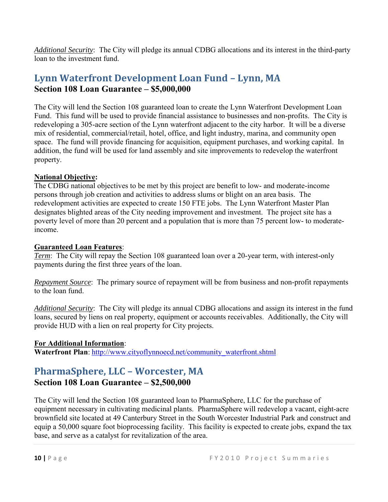*Additional Security*: The City will pledge its annual CDBG allocations and its interest in the third-party loan to the investment fund.

### <span id="page-9-0"></span>**Lynn Waterfront Development Loan Fund – Lynn, MA Section 108 Loan Guarantee – \$5,000,000**

The City will lend the Section 108 guaranteed loan to create the Lynn Waterfront Development Loan Fund. This fund will be used to provide financial assistance to businesses and non-profits. The City is redeveloping a 305-acre section of the Lynn waterfront adjacent to the city harbor. It will be a diverse mix of residential, commercial/retail, hotel, office, and light industry, marina, and community open space. The fund will provide financing for acquisition, equipment purchases, and working capital. In addition, the fund will be used for land assembly and site improvements to redevelop the waterfront property.

#### **National Objective:**

The CDBG national objectives to be met by this project are benefit to low- and moderate-income persons through job creation and activities to address slums or blight on an area basis. The redevelopment activities are expected to create 150 FTE jobs. The Lynn Waterfront Master Plan designates blighted areas of the City needing improvement and investment. The project site has a poverty level of more than 20 percent and a population that is more than 75 percent low- to moderateincome.

#### **Guaranteed Loan Features**:

*Term*: The City will repay the Section 108 guaranteed loan over a 20-year term, with interest-only payments during the first three years of the loan.

*Repayment Source*: The primary source of repayment will be from business and non-profit repayments to the loan fund.

*Additional Security*: The City will pledge its annual CDBG allocations and assign its interest in the fund loans, secured by liens on real property, equipment or accounts receivables. Additionally, the City will provide HUD with a lien on real property for City projects.

#### **For Additional Information**:

Waterfront Plan: [http://www.cityoflynnoecd.net/community\\_waterfront.shtml](http://www.cityoflynnoecd.net/community_waterfront.shtml)

### <span id="page-9-1"></span>**PharmaSphere, LLC – Worcester, MA**

#### **Section 108 Loan Guarantee – \$2,500,000**

The City will lend the Section 108 guaranteed loan to PharmaSphere, LLC for the purchase of equipment necessary in cultivating medicinal plants. PharmaSphere will redevelop a vacant, eight-acre brownfield site located at 49 Canterbury Street in the South Worcester Industrial Park and construct and equip a 50,000 square foot bioprocessing facility. This facility is expected to create jobs, expand the tax base, and serve as a catalyst for revitalization of the area.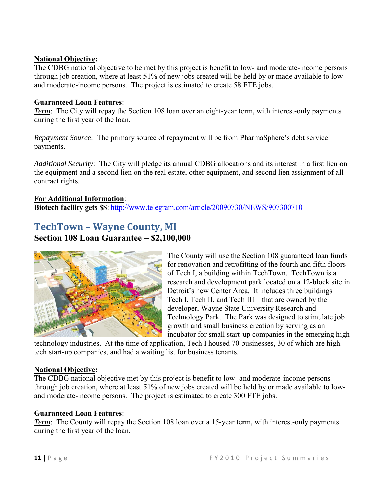#### **National Objective:**

The CDBG national objective to be met by this project is benefit to low- and moderate-income persons through job creation, where at least 51% of new jobs created will be held by or made available to lowand moderate-income persons. The project is estimated to create 58 FTE jobs.

#### **Guaranteed Loan Features**:

*Term*: The City will repay the Section 108 loan over an eight-year term, with interest-only payments during the first year of the loan.

*Repayment Source*: The primary source of repayment will be from PharmaSphere's debt service payments.

*Additional Security*: The City will pledge its annual CDBG allocations and its interest in a first lien on the equipment and a second lien on the real estate, other equipment, and second lien assignment of all contract rights.

#### **For Additional Information**:

**Biotech facility gets \$\$**: <http://www.telegram.com/article/20090730/NEWS/907300710>

### <span id="page-10-0"></span>**TechTown – Wayne County, MI Section 108 Loan Guarantee – \$2,100,000**



The County will use the Section 108 guaranteed loan funds for renovation and retrofitting of the fourth and fifth floors of Tech I, a building within TechTown. TechTown is a research and development park located on a 12-block site in Detroit's new Center Area. It includes three buildings – Tech I, Tech II, and Tech III – that are owned by the developer, Wayne State University Research and Technology Park. The Park was designed to stimulate job growth and small business creation by serving as an incubator for small start-up companies in the emerging high-

technology industries. At the time of application, Tech I housed 70 businesses, 30 of which are hightech start-up companies, and had a waiting list for business tenants.

#### **National Objective:**

The CDBG national objective met by this project is benefit to low- and moderate-income persons through job creation, where at least 51% of new jobs created will be held by or made available to lowand moderate-income persons. The project is estimated to create 300 FTE jobs.

#### **Guaranteed Loan Features**:

*Term*: The County will repay the Section 108 loan over a 15-year term, with interest-only payments during the first year of the loan.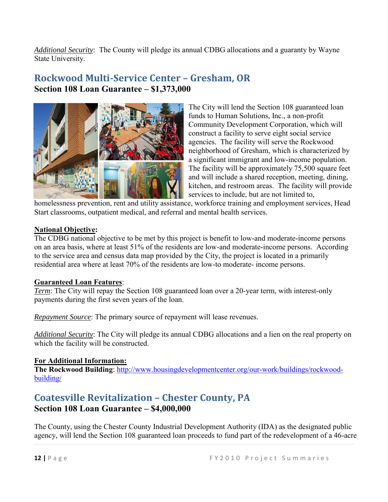*Additional Security*: The County will pledge its annual CDBG allocations and a guaranty by Wayne State University.

### <span id="page-11-0"></span>**Rockwood Multi-Service Center – Gresham, OR Section 108 Loan Guarantee – \$1,373,000**



The City will lend the Section 108 guaranteed loan funds to Human Solutions, Inc., a non-profit Community Development Corporation, which will construct a facility to serve eight social service agencies. The facility will serve the Rockwood neighborhood of Gresham, which is characterized by a significant immigrant and low-income population. The facility will be approximately 75,500 square feet and will include a shared reception, meeting, dining, kitchen, and restroom areas. The facility will provide services to include, but are not limited to,

homelessness prevention, rent and utility assistance, workforce training and employment services, Head Start classrooms, outpatient medical, and referral and mental health services.

#### **National Objective:**

The CDBG national objective to be met by this project is benefit to low-and moderate-income persons on an area basis, where at least 51% of the residents are low-and moderate-income persons. According to the service area and census data map provided by the City, the project is located in a primarily residential area where at least 70% of the residents are low-to moderate- income persons.

#### **Guaranteed Loan Features**:

*Term*: The City will repay the Section 108 guaranteed loan over a 20-year term, with interest-only payments during the first seven years of the loan.

*Repayment Source*: The primary source of repayment will lease revenues.

*Additional Security*: The City will pledge its annual CDBG allocations and a lien on the real property on which the facility will be constructed.

#### **For Additional Information:**

The Rockwood Building: [http://www.housingdevelopmentcenter.org/our-work/buildings/rockwood](http://www.housingdevelopmentcenter.org/our-work/buildings/rockwood-building/)[building/](http://www.housingdevelopmentcenter.org/our-work/buildings/rockwood-building/)

## <span id="page-11-1"></span>**Coatesville Revitalization – Chester County, PA**

#### **Section 108 Loan Guarantee – \$4,000,000**

The County, using the Chester County Industrial Development Authority (IDA) as the designated public agency, will lend the Section 108 guaranteed loan proceeds to fund part of the redevelopment of a 46-acre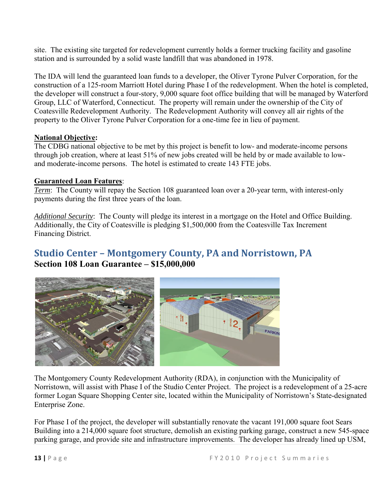site. The existing site targeted for redevelopment currently holds a former trucking facility and gasoline station and is surrounded by a solid waste landfill that was abandoned in 1978.

The IDA will lend the guaranteed loan funds to a developer, the Oliver Tyrone Pulver Corporation, for the construction of a 125-room Marriott Hotel during Phase I of the redevelopment. When the hotel is completed, the developer will construct a four-story, 9,000 square foot office building that will be managed by Waterford Group, LLC of Waterford, Connecticut. The property will remain under the ownership of the City of Coatesville Redevelopment Authority. The Redevelopment Authority will convey all air rights of the property to the Oliver Tyrone Pulver Corporation for a one-time fee in lieu of payment.

#### **National Objective:**

The CDBG national objective to be met by this project is benefit to low- and moderate-income persons through job creation, where at least 51% of new jobs created will be held by or made available to lowand moderate-income persons. The hotel is estimated to create 143 FTE jobs.

#### **Guaranteed Loan Features**:

*Term*: The County will repay the Section 108 guaranteed loan over a 20-year term, with interest-only payments during the first three years of the loan.

*Additional Security*: The County will pledge its interest in a mortgage on the Hotel and Office Building. Additionally, the City of Coatesville is pledging \$1,500,000 from the Coatesville Tax Increment Financing District.

### <span id="page-12-0"></span>**Studio Center – Montgomery County, PA and Norristown, PA Section 108 Loan Guarantee – \$15,000,000**



The Montgomery County Redevelopment Authority (RDA), in conjunction with the Municipality of Norristown, will assist with Phase I of the Studio Center Project. The project is a redevelopment of a 25-acre former Logan Square Shopping Center site, located within the Municipality of Norristown's State-designated Enterprise Zone.

For Phase I of the project, the developer will substantially renovate the vacant 191,000 square foot Sears Building into a 214,000 square foot structure, demolish an existing parking garage, construct a new 545-space parking garage, and provide site and infrastructure improvements. The developer has already lined up USM,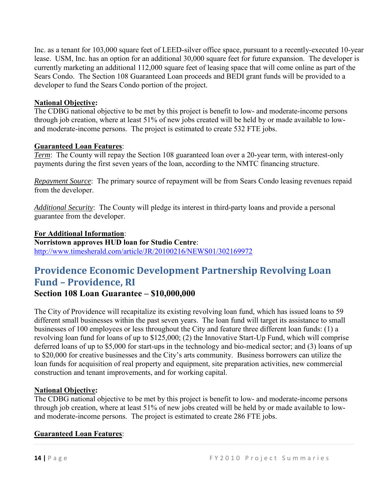Inc. as a tenant for 103,000 square feet of LEED-silver office space, pursuant to a recently-executed 10-year lease. USM, Inc. has an option for an additional 30,000 square feet for future expansion. The developer is currently marketing an additional 112,000 square feet of leasing space that will come online as part of the Sears Condo.The Section 108 Guaranteed Loan proceeds and BEDI grant funds will be provided to a developer to fund the Sears Condo portion of the project.

#### **National Objective:**

The CDBG national objective to be met by this project is benefit to low- and moderate-income persons through job creation, where at least 51% of new jobs created will be held by or made available to lowand moderate-income persons. The project is estimated to create 532 FTE jobs.

#### **Guaranteed Loan Features**:

*Term*: The County will repay the Section 108 guaranteed loan over a 20-year term, with interest-only payments during the first seven years of the loan, according to the NMTC financing structure.

*Repayment Source*: The primary source of repayment will be from Sears Condo leasing revenues repaid from the developer.

*Additional Security*: The County will pledge its interest in third-party loans and provide a personal guarantee from the developer.

#### **For Additional Information**: **Norristown approves HUD loan for Studio Centre**: <http://www.timesherald.com/article/JR/20100216/NEWS01/302169972>

## <span id="page-13-0"></span>**Providence Economic Development Partnership Revolving Loan Fund – Providence, RI**

**Section 108 Loan Guarantee – \$10,000,000** 

The City of Providence will recapitalize its existing revolving loan fund, which has issued loans to 59 different small businesses within the past seven years. The loan fund will target its assistance to small businesses of 100 employees or less throughout the City and feature three different loan funds: (1) a revolving loan fund for loans of up to \$125,000; (2) the Innovative Start-Up Fund, which will comprise deferred loans of up to \$5,000 for start-ups in the technology and bio-medical sector; and (3) loans of up to \$20,000 for creative businesses and the City's arts community. Business borrowers can utilize the loan funds for acquisition of real property and equipment, site preparation activities, new commercial construction and tenant improvements, and for working capital.

#### **National Objective:**

The CDBG national objective to be met by this project is benefit to low- and moderate-income persons through job creation, where at least 51% of new jobs created will be held by or made available to lowand moderate-income persons. The project is estimated to create 286 FTE jobs.

#### **Guaranteed Loan Features**: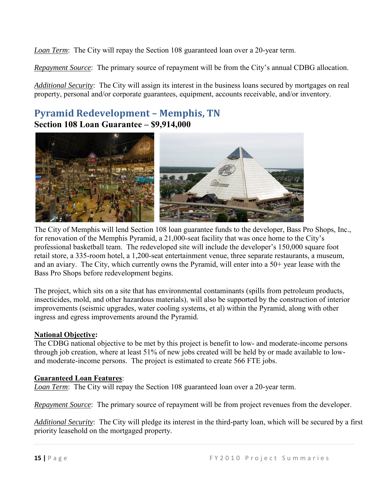*Loan Term*: The City will repay the Section 108 guaranteed loan over a 20-year term.

*Repayment Source*: The primary source of repayment will be from the City's annual CDBG allocation.

*Additional Security*: The City will assign its interest in the business loans secured by mortgages on real property, personal and/or corporate guarantees, equipment, accounts receivable, and/or inventory.

### <span id="page-14-0"></span>**Pyramid Redevelopment – Memphis, TN Section 108 Loan Guarantee – \$9,914,000**



The City of Memphis will lend Section 108 loan guarantee funds to the developer, Bass Pro Shops, Inc., for renovation of the Memphis Pyramid, a 21,000-seat facility that was once home to the City's professional basketball team. The redeveloped site will include the developer's 150,000 square foot retail store, a 335-room hotel, a 1,200-seat entertainment venue, three separate restaurants, a museum, and an aviary. The City, which currently owns the Pyramid, will enter into a 50+ year lease with the Bass Pro Shops before redevelopment begins.

The project, which sits on a site that has environmental contaminants (spills from petroleum products, insecticides, mold, and other hazardous materials), will also be supported by the construction of interior improvements (seismic upgrades, water cooling systems, et al) within the Pyramid, along with other ingress and egress improvements around the Pyramid.

#### **National Objective:**

The CDBG national objective to be met by this project is benefit to low- and moderate-income persons through job creation, where at least 51% of new jobs created will be held by or made available to lowand moderate-income persons. The project is estimated to create 566 FTE jobs.

#### **Guaranteed Loan Features**:

*Loan Term*: The City will repay the Section 108 guaranteed loan over a 20-year term.

*Repayment Source*: The primary source of repayment will be from project revenues from the developer.

*Additional Security*: The City will pledge its interest in the third-party loan, which will be secured by a first priority leasehold on the mortgaged property.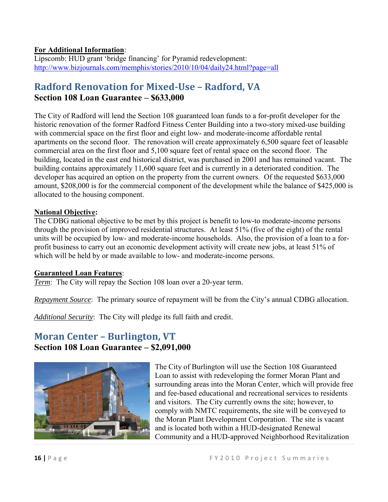#### **For Additional Information**:

Lipscomb: HUD grant 'bridge financing' for Pyramid redevelopment: <http://www.bizjournals.com/memphis/stories/2010/10/04/daily24.html?page=all>

### <span id="page-15-0"></span>**Radford Renovation for Mixed-Use – Radford, VA Section 108 Loan Guarantee – \$633,000**

The City of Radford will lend the Section 108 guaranteed loan funds to a for-profit developer for the historic renovation of the former Radford Fitness Center Building into a two-story mixed-use building with commercial space on the first floor and eight low- and moderate-income affordable rental apartments on the second floor. The renovation will create approximately 6,500 square feet of leasable commercial area on the first floor and 5,100 square feet of rental space on the second floor. The building, located in the east end historical district, was purchased in 2001 and has remained vacant. The building contains approximately 11,600 square feet and is currently in a deteriorated condition. The developer has acquired an option on the property from the current owners. Of the requested \$633,000 amount, \$208,000 is for the commercial component of the development while the balance of \$425,000 is allocated to the housing component.

#### **National Objective:**

The CDBG national objective to be met by this project is benefit to low-to moderate-income persons through the provision of improved residential structures. At least 51% (five of the eight) of the rental units will be occupied by low- and moderate-income households. Also, the provision of a loan to a forprofit business to carry out an economic development activity will create new jobs, at least 51% of which will be held by or made available to low- and moderate-income persons.

#### **Guaranteed Loan Features**:

*Term*: The City will repay the Section 108 loan over a 20-year term.

*Repayment Source*: The primary source of repayment will be from the City's annual CDBG allocation.

*Additional Security*: The City will pledge its full faith and credit.

### <span id="page-15-1"></span>**Moran Center – Burlington, VT Section 108 Loan Guarantee – \$2,091,000**



t he Moran Plant Development Corporation. The site is vacant The City of Burlington will use the Section 108 Guaranteed Loan to assist with redeveloping the former Moran Plant and surrounding areas into the Moran Center, which will provide free and fee-based educational and recreational services to residents and visitors. The City currently owns the site; however, to comply with NMTC requirements, the site will be conveyed to and is located both within a HUD-designated Renewal Community and a HUD-approved Neighborhood Revitalization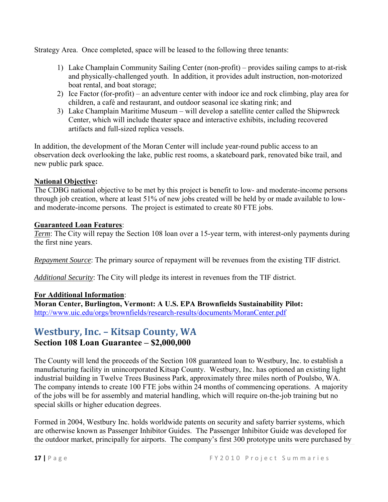Strategy Area. Once completed, space will be leased to the following three tenants:

- 1) Lake Champlain Community Sailing Center (non-profit) provides sailing camps to at-risk and physically-challenged youth. In addition, it provides adult instruction, non-motorized boat rental, and boat storage;
- 2) Ice Factor (for-profit) an adventure center with indoor ice and rock climbing, play area for children, a café and restaurant, and outdoor seasonal ice skating rink; and
- 3) Lake Champlain Maritime Museum will develop a satellite center called the Shipwreck Center, which will include theater space and interactive exhibits, including recovered artifacts and full-sized replica vessels.

In addition, the development of the Moran Center will include year-round public access to an observation deck overlooking the lake, public rest rooms, a skateboard park, renovated bike trail, and new public park space.

#### **National Objective:**

The CDBG national objective to be met by this project is benefit to low- and moderate-income persons through job creation, where at least 51% of new jobs created will be held by or made available to lowand moderate-income persons. The project is estimated to create 80 FTE jobs.

#### **Guaranteed Loan Features**:

*Term*: The City will repay the Section 108 loan over a 15-year term, with interest-only payments during the first nine years.

*Repayment Source*: The primary source of repayment will be revenues from the existing TIF district.

*Additional Security*: The City will pledge its interest in revenues from the TIF district.

#### **For Additional Information**:

**Moran Center, Burlington, Vermont: A U.S. EPA Brownfields Sustainability Pilot:** <http://www.uic.edu/orgs/brownfields/research-results/documents/MoranCenter.pdf>

### <span id="page-16-0"></span>**Westbury, Inc. – Kitsap County, WA Section 108 Loan Guarantee – \$2,000,000**

The County will lend the proceeds of the Section 108 guaranteed loan to Westbury, Inc. to establish a manufacturing facility in unincorporated Kitsap County. Westbury, Inc. has optioned an existing light industrial building in Twelve Trees Business Park, approximately three miles north of Poulsbo, WA. The company intends to create 100 FTE jobs within 24 months of commencing operations. A majority of the jobs will be for assembly and material handling, which will require on-the-job training but no special skills or higher education degrees.

Formed in 2004, Westbury Inc. holds worldwide patents on security and safety barrier systems, which are otherwise known as Passenger Inhibitor Guides. The Passenger Inhibitor Guide was developed for the outdoor market, principally for airports. The company's first 300 prototype units were purchased by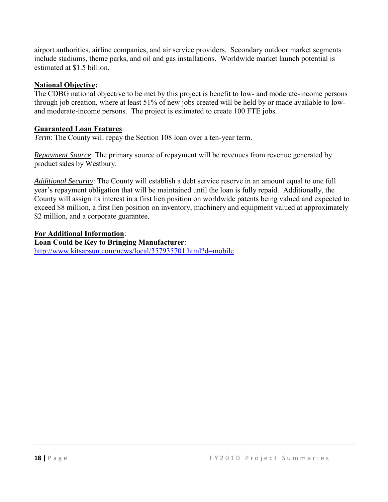airport authorities, airline companies, and air service providers. Secondary outdoor market segments include stadiums, theme parks, and oil and gas installations. Worldwide market launch potential is estimated at \$1.5 billion.

#### **National Objective:**

The CDBG national objective to be met by this project is benefit to low- and moderate-income persons through job creation, where at least 51% of new jobs created will be held by or made available to lowand moderate-income persons. The project is estimated to create 100 FTE jobs.

#### **Guaranteed Loan Features**:

*Term*: The County will repay the Section 108 loan over a ten-year term.

*Repayment Source*: The primary source of repayment will be revenues from revenue generated by product sales by Westbury.

*Additional Security*: The County will establish a debt service reserve in an amount equal to one full year's repayment obligation that will be maintained until the loan is fully repaid. Additionally, the County will assign its interest in a first lien position on worldwide patents being valued and expected to exceed \$8 million, a first lien position on inventory, machinery and equipment valued at approximately \$2 million, and a corporate guarantee.

#### **For Additional Information**:

**Loan Could be Key to Bringing Manufacturer**: <http://www.kitsapsun.com/news/local/357935701.html?d=mobile>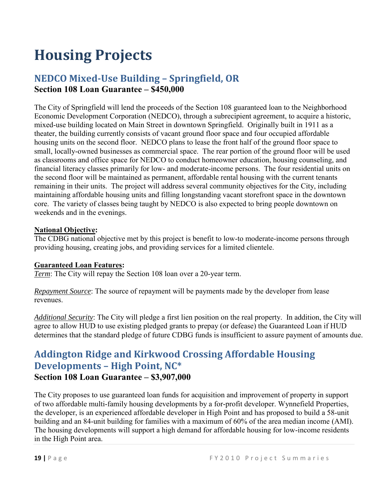# <span id="page-18-0"></span>**Housing Projects**

### <span id="page-18-1"></span>**NEDCO Mixed-Use Building – Springfield, OR Section 108 Loan Guarantee – \$450,000**

The City of Springfield will lend the proceeds of the Section 108 guaranteed loan to the Neighborhood Economic Development Corporation (NEDCO), through a subrecipient agreement, to acquire a historic, mixed-use building located on Main Street in downtown Springfield. Originally built in 1911 as a theater, the building currently consists of vacant ground floor space and four occupied affordable housing units on the second floor. NEDCO plans to lease the front half of the ground floor space to small, locally-owned businesses as commercial space. The rear portion of the ground floor will be used as classrooms and office space for NEDCO to conduct homeowner education, housing counseling, and financial literacy classes primarily for low- and moderate-income persons. The four residential units on the second floor will be maintained as permanent, affordable rental housing with the current tenants remaining in their units. The project will address several community objectives for the City, including maintaining affordable housing units and filling longstanding vacant storefront space in the downtown core. The variety of classes being taught by NEDCO is also expected to bring people downtown on weekends and in the evenings.

#### **National Objective:**

The CDBG national objective met by this project is benefit to low-to moderate-income persons through providing housing, creating jobs, and providing services for a limited clientele.

#### **Guaranteed Loan Features:**

*Term*: The City will repay the Section 108 loan over a 20-year term.

*Repayment Source*: The source of repayment will be payments made by the developer from lease revenues.

*Additional Security*: The City will pledge a first lien position on the real property. In addition, the City will agree to allow HUD to use existing pledged grants to prepay (or defease) the Guaranteed Loan if HUD determines that the standard pledge of future CDBG funds is insufficient to assure payment of amounts due.

### <span id="page-18-2"></span>**Addington Ridge and Kirkwood Crossing Affordable Housing Developments – High Point, NC\* Section 108 Loan Guarantee – \$3,907,000**

The City proposes to use guaranteed loan funds for acquisition and improvement of property in support of two affordable multi-family housing developments by a for-profit developer. Wynnefield Properties, the developer, is an experienced affordable developer in High Point and has proposed to build a 58-unit building and an 84-unit building for families with a maximum of 60% of the area median income (AMI). The housing developments will support a high demand for affordable housing for low-income residents in the High Point area.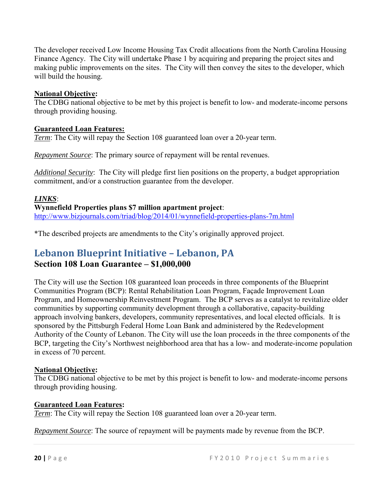The developer received Low Income Housing Tax Credit allocations from the North Carolina Housing Finance Agency. The City will undertake Phase 1 by acquiring and preparing the project sites and making public improvements on the sites. The City will then convey the sites to the developer, which will build the housing.

#### **National Objective:**

The CDBG national objective to be met by this project is benefit to low- and moderate-income persons through providing housing.

#### **Guaranteed Loan Features:**

*Term*: The City will repay the Section 108 guaranteed loan over a 20-year term.

*Repayment Source*: The primary source of repayment will be rental revenues.

*Additional Security*: The City will pledge first lien positions on the property, a budget appropriation commitment, and/or a construction guarantee from the developer.

#### *LINKS*:

**Wynnefield Properties plans \$7 million apartment project**: <http://www.bizjournals.com/triad/blog/2014/01/wynnefield-properties-plans-7m.html>

\*The described projects are amendments to the City's originally approved project.

### <span id="page-19-0"></span>**Lebanon Blueprint Initiative – Lebanon, PA**

#### **Section 108 Loan Guarantee – \$1,000,000**

The City will use the Section 108 guaranteed loan proceeds in three components of the Blueprint Communities Program (BCP): Rental Rehabilitation Loan Program, Façade Improvement Loan Program, and Homeownership Reinvestment Program. The BCP serves as a catalyst to revitalize older communities by supporting community development through a collaborative, capacity-building approach involving bankers, developers, community representatives, and local elected officials. It is sponsored by the Pittsburgh Federal Home Loan Bank and administered by the Redevelopment Authority of the County of Lebanon. The City will use the loan proceeds in the three components of the BCP, targeting the City's Northwest neighborhood area that has a low- and moderate-income population in excess of 70 percent.

#### **National Objective:**

The CDBG national objective to be met by this project is benefit to low- and moderate-income persons through providing housing.

#### **Guaranteed Loan Features:**

*Term*: The City will repay the Section 108 guaranteed loan over a 20-year term.

*Repayment Source*: The source of repayment will be payments made by revenue from the BCP.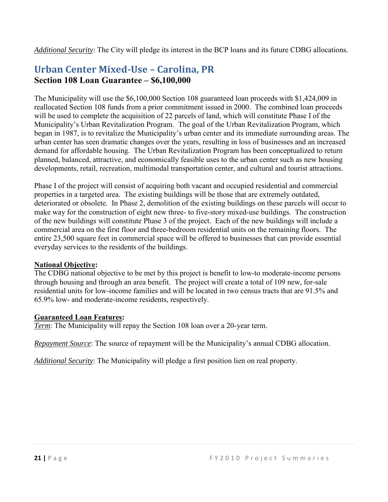*Additional Security*: The City will pledge its interest in the BCP loans and its future CDBG allocations.

### <span id="page-20-0"></span>**Urban Center Mixed-Use – Carolina, PR Section 108 Loan Guarantee – \$6,100,000**

The Municipality will use the \$6,100,000 Section 108 guaranteed loan proceeds with \$1,424,009 in reallocated Section 108 funds from a prior commitment issued in 2000. The combined loan proceeds will be used to complete the acquisition of 22 parcels of land, which will constitute Phase I of the Municipality's Urban Revitalization Program. The goal of the Urban Revitalization Program, which began in 1987, is to revitalize the Municipality's urban center and its immediate surrounding areas. The urban center has seen dramatic changes over the years, resulting in loss of businesses and an increased demand for affordable housing. The Urban Revitalization Program has been conceptualized to return planned, balanced, attractive, and economically feasible uses to the urban center such as new housing developments, retail, recreation, multimodal transportation center, and cultural and tourist attractions.

Phase I of the project will consist of acquiring both vacant and occupied residential and commercial properties in a targeted area. The existing buildings will be those that are extremely outdated, deteriorated or obsolete. In Phase 2, demolition of the existing buildings on these parcels will occur to make way for the construction of eight new three- to five-story mixed-use buildings. The construction of the new buildings will constitute Phase 3 of the project. Each of the new buildings will include a commercial area on the first floor and three-bedroom residential units on the remaining floors. The entire 23,500 square feet in commercial space will be offered to businesses that can provide essential everyday services to the residents of the buildings.

#### **National Objective:**

The CDBG national objective to be met by this project is benefit to low-to moderate-income persons through housing and through an area benefit. The project will create a total of 109 new, for-sale residential units for low-income families and will be located in two census tracts that are 91.5% and 65.9% low- and moderate-income residents, respectively.

#### **Guaranteed Loan Features:**

*Term*: The Municipality will repay the Section 108 loan over a 20-year term.

*Repayment Source*: The source of repayment will be the Municipality's annual CDBG allocation.

*Additional Security*: The Municipality will pledge a first position lien on real property.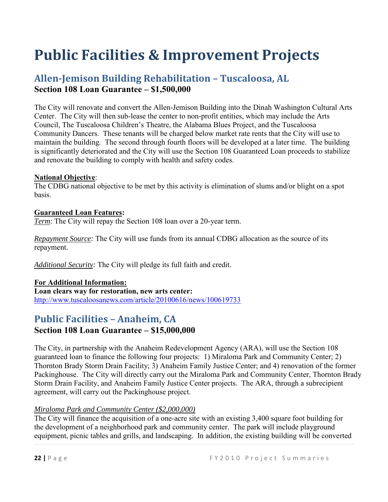# <span id="page-21-0"></span>**Public Facilities & Improvement Projects**

### <span id="page-21-1"></span>**Allen-Jemison Building Rehabilitation – Tuscaloosa, AL Section 108 Loan Guarantee – \$1,500,000**

The City will renovate and convert the Allen-Jemison Building into the Dinah Washington Cultural Arts Center. The City will then sub-lease the center to non-profit entities, which may include the Arts Council, The Tuscaloosa Children's Theatre, the Alabama Blues Project, and the Tuscaloosa Community Dancers. These tenants will be charged below market rate rents that the City will use to maintain the building. The second through fourth floors will be developed at a later time. The building is significantly deteriorated and the City will use the Section 108 Guaranteed Loan proceeds to stabilize and renovate the building to comply with health and safety codes.

#### **National Objective**:

The CDBG national objective to be met by this activity is elimination of slums and/or blight on a spot basis.

#### **Guaranteed Loan Features:**

*Term*: The City will repay the Section 108 loan over a 20-year term.

*Repayment Source:* The City will use funds from its annual CDBG allocation as the source of its repayment.

*Additional Security:* The City will pledge its full faith and credit.

#### **For Additional Information:**

**Loan clears way for restoration, new arts center:** <http://www.tuscaloosanews.com/article/20100616/news/100619733>

### <span id="page-21-2"></span>**Public Facilities – Anaheim, CA**

#### **Section 108 Loan Guarantee – \$15,000,000**

The City, in partnership with the Anaheim Redevelopment Agency (ARA), will use the Section 108 guaranteed loan to finance the following four projects: 1) Miraloma Park and Community Center; 2) Thornton Brady Storm Drain Facility; 3) Anaheim Family Justice Center; and 4) renovation of the former Packinghouse. The City will directly carry out the Miraloma Park and Community Center, Thornton Brady Storm Drain Facility, and Anaheim Family Justice Center projects. The ARA, through a subrecipient agreement, will carry out the Packinghouse project.

#### *Miraloma Park and Community Center (\$2,000,000)*

The City will finance the acquisition of a one-acre site with an existing 3,400 square foot building for the development of a neighborhood park and community center. The park will include playground equipment, picnic tables and grills, and landscaping. In addition, the existing building will be converted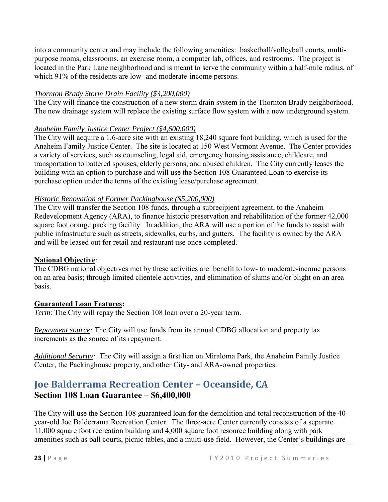into a community center and may include the following amenities: basketball/volleyball courts, multipurpose rooms, classrooms, an exercise room, a computer lab, offices, and restrooms. The project is located in the Park Lane neighborhood and is meant to serve the community within a half-mile radius, of which 91% of the residents are low- and moderate-income persons.

#### *Thornton Brady Storm Drain Facility (\$3,200,000)*

The City will finance the construction of a new storm drain system in the Thornton Brady neighborhood. The new drainage system will replace the existing surface flow system with a new underground system.

#### *Anaheim Family Justice Center Project (\$4,600,000)*

The City will acquire a 1.6-acre site with an existing 18,240 square foot building, which is used for the Anaheim Family Justice Center. The site is located at 150 West Vermont Avenue. The Center provides a variety of services, such as counseling, legal aid, emergency housing assistance, childcare, and transportation to battered spouses, elderly persons, and abused children. The City currently leases the building with an option to purchase and will use the Section 108 Guaranteed Loan to exercise its purchase option under the terms of the existing lease/purchase agreement.

#### *Historic Renovation of Former Packinghouse (\$5,200,000)*

The City will transfer the Section 108 funds, through a subrecipient agreement, to the Anaheim Redevelopment Agency (ARA), to finance historic preservation and rehabilitation of the former 42,000 square foot orange packing facility. In addition, the ARA will use a portion of the funds to assist with public infrastructure such as streets, sidewalks, curbs, and gutters. The facility is owned by the ARA and will be leased out for retail and restaurant use once completed.

#### **National Objective**:

The CDBG national objectives met by these activities are: benefit to low- to moderate-income persons on an area basis; through limited clientele activities, and elimination of slums and/or blight on an area basis.

#### **Guaranteed Loan Features:**

*Term*: The City will repay the Section 108 loan over a 20-year term.

*Repayment source:* The City will use funds from its annual CDBG allocation and property tax increments as the source of its repayment.

*Additional Security:* The City will assign a first lien on Miraloma Park, the Anaheim Family Justice Center, the Packinghouse property, and other City- and ARA-owned properties.

### <span id="page-22-0"></span>**Joe Balderrama Recreation Center – Oceanside, CA Section 108 Loan Guarantee – \$6,400,000**

The City will use the Section 108 guaranteed loan for the demolition and total reconstruction of the 40 year-old Joe Balderrama Recreation Center. The three-acre Center currently consists of a separate 11,000 square foot recreation building and 4,000 square foot resource building along with park amenities such as ball courts, picnic tables, and a multi-use field. However, the Center's buildings are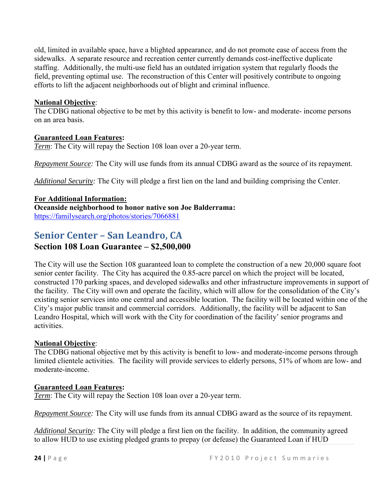old, limited in available space, have a blighted appearance, and do not promote ease of access from the sidewalks. A separate resource and recreation center currently demands cost-ineffective duplicate staffing. Additionally, the multi-use field has an outdated irrigation system that regularly floods the field, preventing optimal use. The reconstruction of this Center will positively contribute to ongoing efforts to lift the adjacent neighborhoods out of blight and criminal influence.

#### **National Objective**:

The CDBG national objective to be met by this activity is benefit to low- and moderate- income persons on an area basis.

#### **Guaranteed Loan Features:**

*Term*: The City will repay the Section 108 loan over a 20-year term.

*Repayment Source:* The City will use funds from its annual CDBG award as the source of its repayment.

*Additional Security:* The City will pledge a first lien on the land and building comprising the Center.

#### **For Additional Information:**

**Oceanside neighborhood to honor native son Joe Balderrama:** <https://familysearch.org/photos/stories/7066881>

### <span id="page-23-0"></span>**Senior Center – San Leandro, CA**

#### **Section 108 Loan Guarantee – \$2,500,000**

The City will use the Section 108 guaranteed loan to complete the construction of a new 20,000 square foot senior center facility. The City has acquired the 0.85-acre parcel on which the project will be located, constructed 170 parking spaces, and developed sidewalks and other infrastructure improvements in support of the facility. The City will own and operate the facility, which will allow for the consolidation of the City's existing senior services into one central and accessible location. The facility will be located within one of the City's major public transit and commercial corridors. Additionally, the facility will be adjacent to San Leandro Hospital, which will work with the City for coordination of the facility' senior programs and activities.

#### **National Objective**:

The CDBG national objective met by this activity is benefit to low- and moderate-income persons through limited clientele activities. The facility will provide services to elderly persons, 51% of whom are low- and moderate-income.

#### **Guaranteed Loan Features:**

*Term*: The City will repay the Section 108 loan over a 20-year term.

*Repayment Source:* The City will use funds from its annual CDBG award as the source of its repayment.

*Additional Security:* The City will pledge a first lien on the facility. In addition, the community agreed to allow HUD to use existing pledged grants to prepay (or defease) the Guaranteed Loan if HUD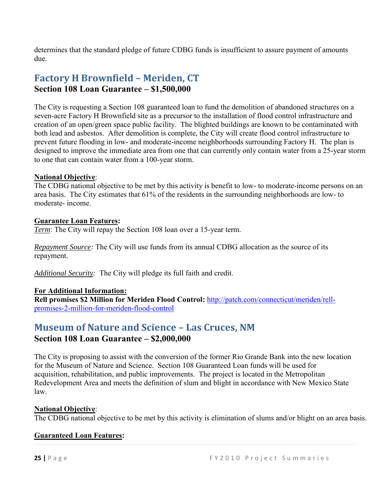determines that the standard pledge of future CDBG funds is insufficient to assure payment of amounts due.

### <span id="page-24-0"></span>**Factory H Brownfield – Meriden, CT Section 108 Loan Guarantee – \$1,500,000**

The City is requesting a Section 108 guaranteed loan to fund the demolition of abandoned structures on a seven-acre Factory H Brownfield site as a precursor to the installation of flood control infrastructure and creation of an open/green space public facility. The blighted buildings are known to be contaminated with both lead and asbestos. After demolition is complete, the City will create flood control infrastructure to prevent future flooding in low- and moderate-income neighborhoods surrounding Factory H. The plan is designed to improve the immediate area from one that can currently only contain water from a 25-year storm to one that can contain water from a 100-year storm.

#### **National Objective**:

The CDBG national objective to be met by this activity is benefit to low- to moderate-income persons on an area basis. The City estimates that 61% of the residents in the surrounding neighborhoods are low- to moderate- income.

#### **Guarantee Loan Features:**

*Term*: The City will repay the Section 108 loan over a 15-year term.

*Repayment Source:* The City will use funds from its annual CDBG allocation as the source of its repayment.

*Additional Security:* The City will pledge its full faith and credit.

#### **For Additional Information:**

**Rell promises \$2 Million for Meriden Flood Control:** [http://patch.com/connecticut/meriden/rell](http://patch.com/connecticut/meriden/rell-promises-2-million-for-meriden-flood-control)[promises-2-million-for-meriden-flood-control](http://patch.com/connecticut/meriden/rell-promises-2-million-for-meriden-flood-control)

### <span id="page-24-1"></span>**Museum of Nature and Science – Las Cruces, NM Section 108 Loan Guarantee – \$2,000,000**

The City is proposing to assist with the conversion of the former Rio Grande Bank into the new location for the Museum of Nature and Science. Section 108 Guaranteed Loan funds will be used for acquisition, rehabilitation, and public improvements. The project is located in the Metropolitan Redevelopment Area and meets the definition of slum and blight in accordance with New Mexico State law.

#### **National Objective**:

The CDBG national objective to be met by this activity is elimination of slums and/or blight on an area basis.

#### **Guaranteed Loan Features:**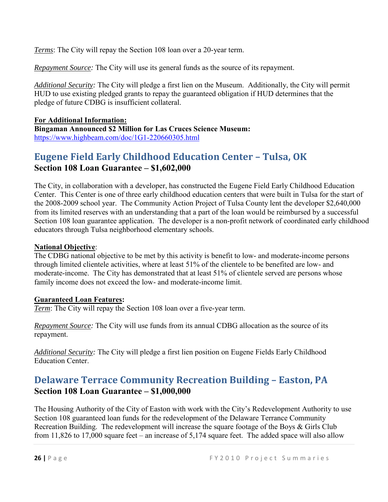*Terms*: The City will repay the Section 108 loan over a 20-year term.

*Repayment Source:* The City will use its general funds as the source of its repayment.

*Additional Security:* The City will pledge a first lien on the Museum. Additionally, the City will permit HUD to use existing pledged grants to repay the guaranteed obligation if HUD determines that the pledge of future CDBG is insufficient collateral.

**For Additional Information: Bingaman Announced \$2 Million for Las Cruces Science Museum:** <https://www.highbeam.com/doc/1G1-220660305.html>

### <span id="page-25-0"></span>**Eugene Field Early Childhood Education Center – Tulsa, OK Section 108 Loan Guarantee – \$1,602,000**

The City, in collaboration with a developer, has constructed the Eugene Field Early Childhood Education Center. This Center is one of three early childhood education centers that were built in Tulsa for the start of the 2008-2009 school year. The Community Action Project of Tulsa County lent the developer \$2,640,000 from its limited reserves with an understanding that a part of the loan would be reimbursed by a successful Section 108 loan guarantee application. The developer is a non-profit network of coordinated early childhood educators through Tulsa neighborhood elementary schools.

#### **National Objective**:

The CDBG national objective to be met by this activity is benefit to low- and moderate-income persons through limited clientele activities, where at least 51% of the clientele to be benefited are low- and moderate-income. The City has demonstrated that at least 51% of clientele served are persons whose family income does not exceed the low- and moderate-income limit.

#### **Guaranteed Loan Features:**

*Term*: The City will repay the Section 108 loan over a five-year term.

*Repayment Source:* The City will use funds from its annual CDBG allocation as the source of its repayment.

*Additional Security:* The City will pledge a first lien position on Eugene Fields Early Childhood Education Center.

### <span id="page-25-1"></span>**Delaware Terrace Community Recreation Building – Easton, PA Section 108 Loan Guarantee – \$1,000,000**

The Housing Authority of the City of Easton with work with the City's Redevelopment Authority to use Section 108 guaranteed loan funds for the redevelopment of the Delaware Terrance Community Recreation Building. The redevelopment will increase the square footage of the Boys & Girls Club from 11,826 to 17,000 square feet – an increase of 5,174 square feet. The added space will also allow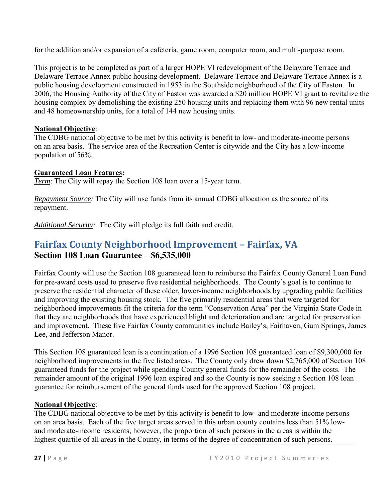for the addition and/or expansion of a cafeteria, game room, computer room, and multi-purpose room.

This project is to be completed as part of a larger HOPE VI redevelopment of the Delaware Terrace and Delaware Terrace Annex public housing development. Delaware Terrace and Delaware Terrace Annex is a public housing development constructed in 1953 in the Southside neighborhood of the City of Easton. In 2006, the Housing Authority of the City of Easton was awarded a \$20 million HOPE VI grant to revitalize the housing complex by demolishing the existing 250 housing units and replacing them with 96 new rental units and 48 homeownership units, for a total of 144 new housing units.

#### **National Objective**:

The CDBG national objective to be met by this activity is benefit to low- and moderate-income persons on an area basis. The service area of the Recreation Center is citywide and the City has a low-income population of 56%.

#### **Guaranteed Loan Features:**

*Term*: The City will repay the Section 108 loan over a 15-year term.

*Repayment Source:* The City will use funds from its annual CDBG allocation as the source of its repayment.

*Additional Security:* The City will pledge its full faith and credit.

### <span id="page-26-0"></span>**Fairfax County Neighborhood Improvement – Fairfax, VA Section 108 Loan Guarantee – \$6,535,000**

Fairfax County will use the Section 108 guaranteed loan to reimburse the Fairfax County General Loan Fund for pre-award costs used to preserve five residential neighborhoods. The County's goal is to continue to preserve the residential character of these older, lower-income neighborhoods by upgrading public facilities and improving the existing housing stock. The five primarily residential areas that were targeted for neighborhood improvements fit the criteria for the term "Conservation Area" per the Virginia State Code in that they are neighborhoods that have experienced blight and deterioration and are targeted for preservation and improvement. These five Fairfax County communities include Bailey's, Fairhaven, Gum Springs, James Lee, and Jefferson Manor.

This Section 108 guaranteed loan is a continuation of a 1996 Section 108 guaranteed loan of \$9,300,000 for neighborhood improvements in the five listed areas. The County only drew down \$2,765,000 of Section 108 guaranteed funds for the project while spending County general funds for the remainder of the costs. The remainder amount of the original 1996 loan expired and so the County is now seeking a Section 108 loan guarantee for reimbursement of the general funds used for the approved Section 108 project.

#### **National Objective**:

The CDBG national objective to be met by this activity is benefit to low- and moderate-income persons on an area basis. Each of the five target areas served in this urban county contains less than 51% lowand moderate-income residents; however, the proportion of such persons in the areas is within the highest quartile of all areas in the County, in terms of the degree of concentration of such persons.